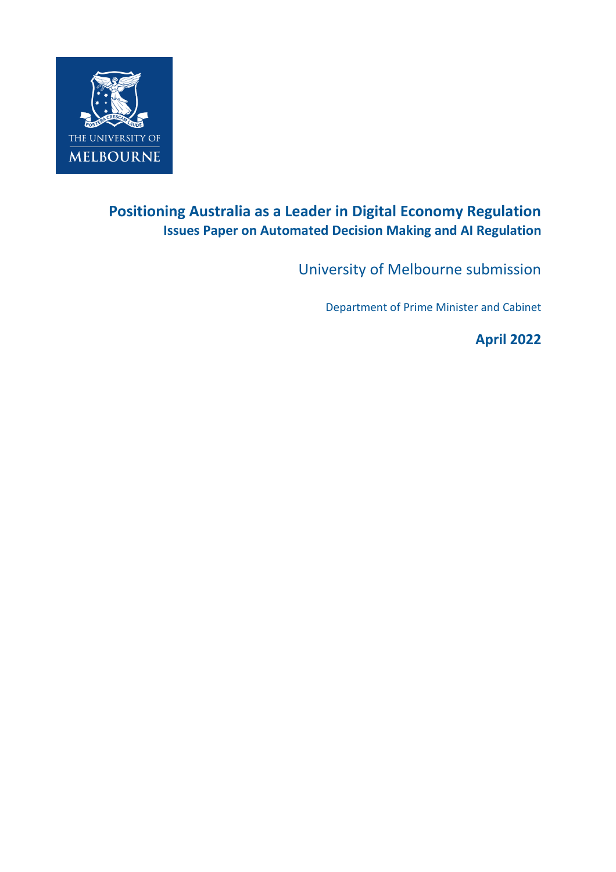

## **Positioning Australia as a Leader in Digital Economy Regulation Issues Paper on Automated Decision Making and AI Regulation**

University of Melbourne submission

Department of Prime Minister and Cabinet

**April 2022**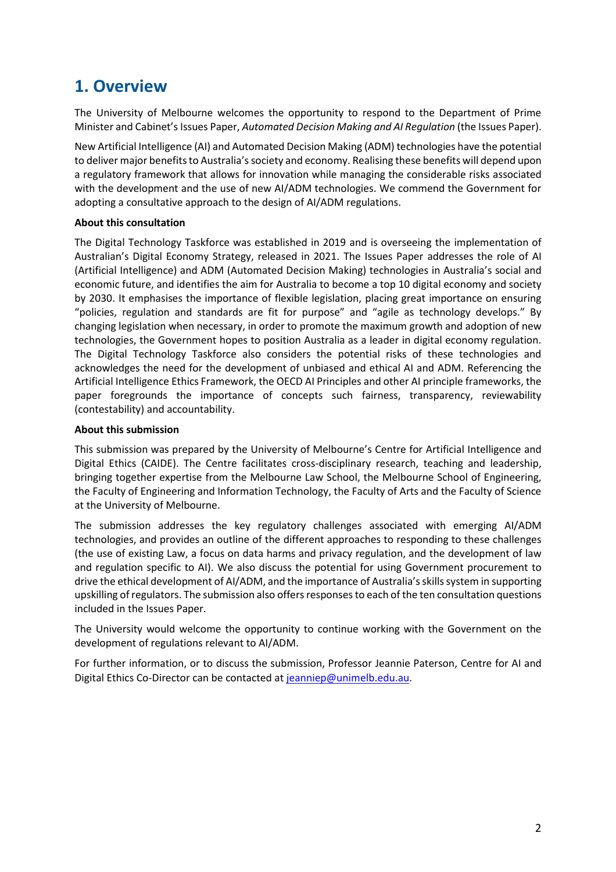## **1. Overview**

The University of Melbourne welcomes the opportunity to respond to the Department of Prime Minister and Cabinet'sIssues Paper, *Automated Decision Making and AI Regulation* (the Issues Paper).

New Artificial Intelligence (AI) and Automated Decision Making (ADM) technologies have the potential to deliver major benefits to Australia's society and economy. Realising these benefits will depend upon a regulatory framework that allows for innovation while managing the considerable risks associated with the development and the use of new AI/ADM technologies. We commend the Government for adopting a consultative approach to the design of AI/ADM regulations.

### **About this consultation**

The Digital Technology Taskforce was established in 2019 and is overseeing the implementation of Australian's Digital Economy Strategy, released in 2021. The Issues Paper addresses the role of AI (Artificial Intelligence) and ADM (Automated Decision Making) technologies in Australia's social and economic future, and identifies the aim for Australia to become a top 10 digital economy and society by 2030. It emphasises the importance of flexible legislation, placing great importance on ensuring "policies, regulation and standards are fit for purpose" and "agile as technology develops." By changing legislation when necessary, in order to promote the maximum growth and adoption of new technologies, the Government hopes to position Australia as a leader in digital economy regulation. The Digital Technology Taskforce also considers the potential risks of these technologies and acknowledges the need for the development of unbiased and ethical AI and ADM. Referencing the Artificial Intelligence Ethics Framework, the OECD AI Principles and other AI principle frameworks, the paper foregrounds the importance of concepts such fairness, transparency, reviewability (contestability) and accountability.

### **About this submission**

This submission was prepared by the University of Melbourne's Centre for Artificial Intelligence and Digital Ethics (CAIDE). The Centre facilitates cross-disciplinary research, teaching and leadership, bringing together expertise from the Melbourne Law School, the Melbourne School of Engineering, the Faculty of Engineering and Information Technology, the Faculty of Arts and the Faculty of Science at the University of Melbourne.

The submission addresses the key regulatory challenges associated with emerging AI/ADM technologies, and provides an outline of the different approaches to responding to these challenges (the use of existing Law, a focus on data harms and privacy regulation, and the development of law and regulation specific to AI). We also discuss the potential for using Government procurement to drive the ethical development of AI/ADM, and the importance of Australia's skills system in supporting upskilling of regulators. The submission also offers responses to each of the ten consultation questions included in the Issues Paper.

The University would welcome the opportunity to continue working with the Government on the development of regulations relevant to AI/ADM.

For further information, or to discuss the submission, Professor Jeannie Paterson, Centre for AI and Digital Ethics Co-Director can be contacted a[t jeanniep@unimelb.edu.au.](mailto:jeanniep@unimelb.edu.au)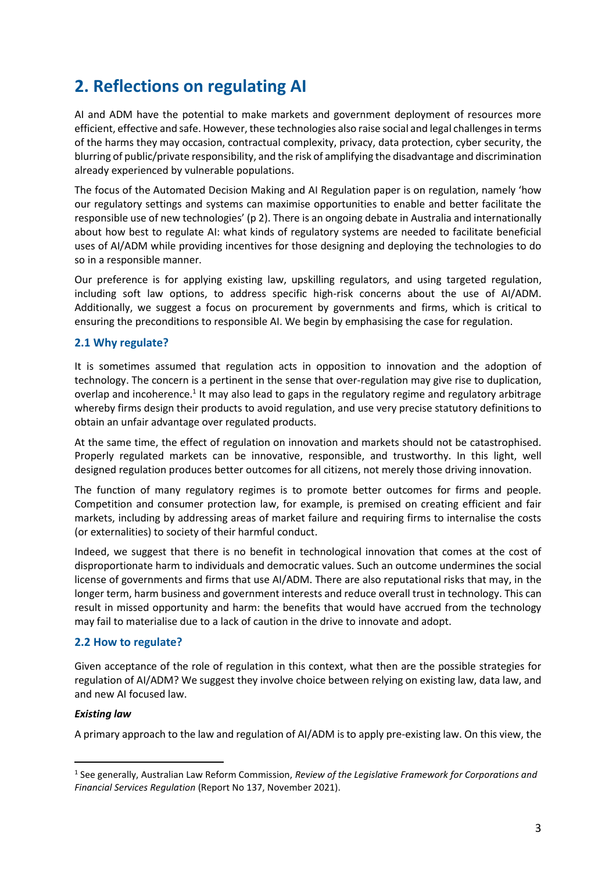## **2. Reflections on regulating AI**

AI and ADM have the potential to make markets and government deployment of resources more efficient, effective and safe. However, these technologies also raise social and legal challenges in terms of the harms they may occasion, contractual complexity, privacy, data protection, cyber security, the blurring of public/private responsibility, and the risk of amplifying the disadvantage and discrimination already experienced by vulnerable populations.

The focus of the Automated Decision Making and AI Regulation paper is on regulation, namely 'how our regulatory settings and systems can maximise opportunities to enable and better facilitate the responsible use of new technologies' (p 2). There is an ongoing debate in Australia and internationally about how best to regulate AI: what kinds of regulatory systems are needed to facilitate beneficial uses of AI/ADM while providing incentives for those designing and deploying the technologies to do so in a responsible manner.

Our preference is for applying existing law, upskilling regulators, and using targeted regulation, including soft law options, to address specific high-risk concerns about the use of AI/ADM. Additionally, we suggest a focus on procurement by governments and firms, which is critical to ensuring the preconditions to responsible AI. We begin by emphasising the case for regulation.

### **2.1 Why regulate?**

It is sometimes assumed that regulation acts in opposition to innovation and the adoption of technology. The concern is a pertinent in the sense that over-regulation may give rise to duplication, overlap and incoherence.<sup>1</sup> It may also lead to gaps in the regulatory regime and regulatory arbitrage whereby firms design their products to avoid regulation, and use very precise statutory definitions to obtain an unfair advantage over regulated products.

At the same time, the effect of regulation on innovation and markets should not be catastrophised. Properly regulated markets can be innovative, responsible, and trustworthy. In this light, well designed regulation produces better outcomes for all citizens, not merely those driving innovation.

The function of many regulatory regimes is to promote better outcomes for firms and people. Competition and consumer protection law, for example, is premised on creating efficient and fair markets, including by addressing areas of market failure and requiring firms to internalise the costs (or externalities) to society of their harmful conduct.

Indeed, we suggest that there is no benefit in technological innovation that comes at the cost of disproportionate harm to individuals and democratic values. Such an outcome undermines the social license of governments and firms that use AI/ADM. There are also reputational risks that may, in the longer term, harm business and government interests and reduce overall trust in technology. This can result in missed opportunity and harm: the benefits that would have accrued from the technology may fail to materialise due to a lack of caution in the drive to innovate and adopt.

### **2.2 How to regulate?**

Given acceptance of the role of regulation in this context, what then are the possible strategies for regulation of AI/ADM? We suggest they involve choice between relying on existing law, data law, and and new AI focused law.

### *Existing law*

A primary approach to the law and regulation of AI/ADM is to apply pre-existing law. On this view, the

<sup>1</sup> See generally, Australian Law Reform Commission, *Review of the Legislative Framework for Corporations and Financial Services Regulation* (Report No 137, November 2021).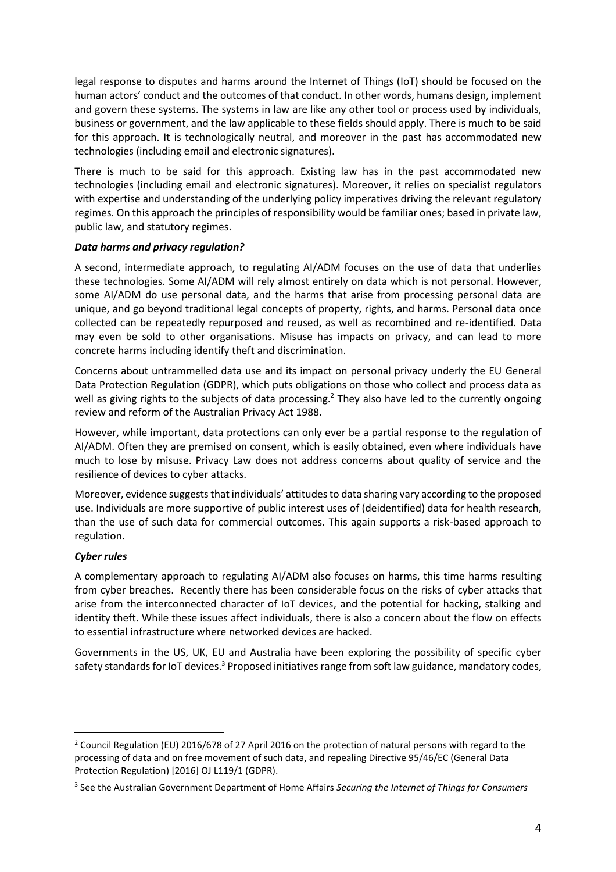legal response to disputes and harms around the Internet of Things (IoT) should be focused on the human actors' conduct and the outcomes of that conduct. In other words, humans design, implement and govern these systems. The systems in law are like any other tool or process used by individuals, business or government, and the law applicable to these fields should apply. There is much to be said for this approach. It is technologically neutral, and moreover in the past has accommodated new technologies (including email and electronic signatures).

There is much to be said for this approach. Existing law has in the past accommodated new technologies (including email and electronic signatures). Moreover, it relies on specialist regulators with expertise and understanding of the underlying policy imperatives driving the relevant regulatory regimes. On this approach the principles of responsibility would be familiar ones; based in private law, public law, and statutory regimes.

### *Data harms and privacy regulation?*

A second, intermediate approach, to regulating AI/ADM focuses on the use of data that underlies these technologies. Some AI/ADM will rely almost entirely on data which is not personal. However, some AI/ADM do use personal data, and the harms that arise from processing personal data are unique, and go beyond traditional legal concepts of property, rights, and harms. Personal data once collected can be repeatedly repurposed and reused, as well as recombined and re-identified. Data may even be sold to other organisations. Misuse has impacts on privacy, and can lead to more concrete harms including identify theft and discrimination.

Concerns about untrammelled data use and its impact on personal privacy underly the EU General Data Protection Regulation (GDPR), which puts obligations on those who collect and process data as well as giving rights to the subjects of data processing.<sup>2</sup> They also have led to the currently ongoing review and reform of the Australian Privacy Act 1988.

However, while important, data protections can only ever be a partial response to the regulation of AI/ADM. Often they are premised on consent, which is easily obtained, even where individuals have much to lose by misuse. Privacy Law does not address concerns about quality of service and the resilience of devices to cyber attacks.

Moreover, evidence suggests that individuals' attitudes to data sharing vary according to the proposed use. Individuals are more supportive of public interest uses of (deidentified) data for health research, than the use of such data for commercial outcomes. This again supports a risk-based approach to regulation.

#### *Cyber rules*

A complementary approach to regulating AI/ADM also focuses on harms, this time harms resulting from cyber breaches. Recently there has been considerable focus on the risks of cyber attacks that arise from the interconnected character of IoT devices, and the potential for hacking, stalking and identity theft. While these issues affect individuals, there is also a concern about the flow on effects to essential infrastructure where networked devices are hacked.

Governments in the US, UK, EU and Australia have been exploring the possibility of specific cyber safety standards for IoT devices.<sup>3</sup> Proposed initiatives range from soft law guidance, mandatory codes,

<sup>&</sup>lt;sup>2</sup> Council Regulation (EU) 2016/678 of 27 April 2016 on the protection of natural persons with regard to the processing of data and on free movement of such data, and repealing Directive 95/46/EC (General Data Protection Regulation) [2016] OJ L119/1 (GDPR).

<sup>3</sup> See the Australian Government Department of Home Affairs *Securing the Internet of Things for Consumers*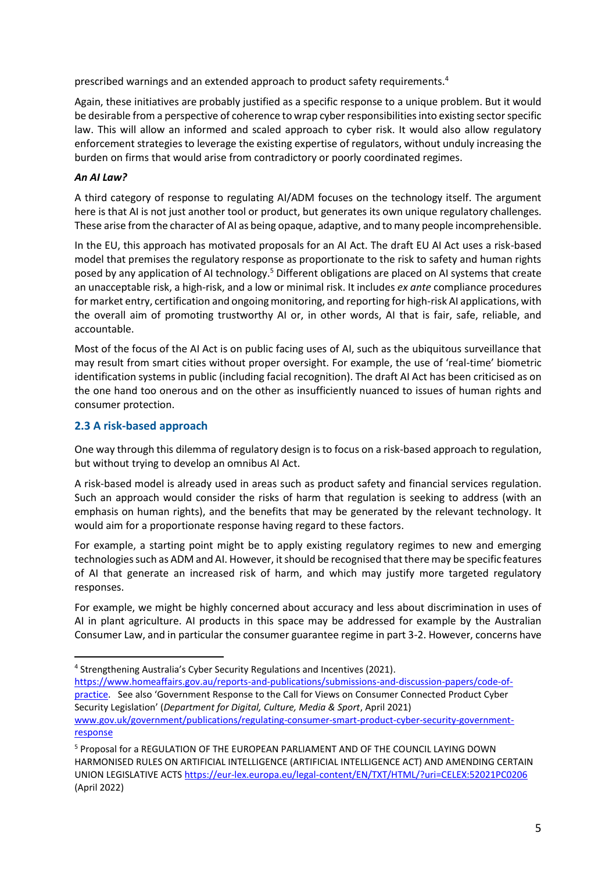prescribed warnings and an extended approach to product safety requirements.<sup>4</sup>

Again, these initiatives are probably justified as a specific response to a unique problem. But it would be desirable from a perspective of coherence to wrap cyber responsibilities into existing sector specific law. This will allow an informed and scaled approach to cyber risk. It would also allow regulatory enforcement strategies to leverage the existing expertise of regulators, without unduly increasing the burden on firms that would arise from contradictory or poorly coordinated regimes.

### *An AI Law?*

A third category of response to regulating AI/ADM focuses on the technology itself. The argument here is that AI is not just another tool or product, but generates its own unique regulatory challenges. These arise from the character of AI as being opaque, adaptive, and to many people incomprehensible.

In the EU, this approach has motivated proposals for an AI Act. The draft EU AI Act uses a risk-based model that premises the regulatory response as proportionate to the risk to safety and human rights posed by any application of AI technology.<sup>5</sup> Different obligations are placed on AI systems that create an unacceptable risk, a high-risk, and a low or minimal risk. It includes *ex ante* compliance procedures for market entry, certification and ongoing monitoring, and reporting for high-risk AI applications, with the overall aim of promoting trustworthy AI or, in other words, AI that is fair, safe, reliable, and accountable.

Most of the focus of the AI Act is on public facing uses of AI, such as the ubiquitous surveillance that may result from smart cities without proper oversight. For example, the use of 'real-time' biometric identification systems in public (including facial recognition). The draft AI Act has been criticised as on the one hand too onerous and on the other as insufficiently nuanced to issues of human rights and consumer protection.

### **2.3 A risk-based approach**

One way through this dilemma of regulatory design is to focus on a risk-based approach to regulation, but without trying to develop an omnibus AI Act.

A risk-based model is already used in areas such as product safety and financial services regulation. Such an approach would consider the risks of harm that regulation is seeking to address (with an emphasis on human rights), and the benefits that may be generated by the relevant technology. It would aim for a proportionate response having regard to these factors.

For example, a starting point might be to apply existing regulatory regimes to new and emerging technologies such as ADM and AI. However, it should be recognised that there may be specific features of AI that generate an increased risk of harm, and which may justify more targeted regulatory responses.

For example, we might be highly concerned about accuracy and less about discrimination in uses of AI in plant agriculture. AI products in this space may be addressed for example by the Australian Consumer Law, and in particular the consumer guarantee regime in part 3-2. However, concerns have

<sup>&</sup>lt;sup>4</sup> Strengthening Australia's Cyber Security Regulations and Incentives (2021). [https://www.homeaffairs.gov.au/reports-and-publications/submissions-and-discussion-papers/code-of](https://www.homeaffairs.gov.au/reports-and-publications/submissions-and-discussion-papers/code-of-practice)[practice.](https://www.homeaffairs.gov.au/reports-and-publications/submissions-and-discussion-papers/code-of-practice) See also 'Government Response to the Call for Views on Consumer Connected Product Cyber Security Legislation' (*Department for Digital, Culture, Media & Sport*, April 2021) [www.gov.uk/government/publications/regulating-consumer-smart-product-cyber-security-government](http://www.gov.uk/government/publications/regulating-consumer-smart-product-cyber-security-government-response)[response](http://www.gov.uk/government/publications/regulating-consumer-smart-product-cyber-security-government-response)

<sup>5</sup> Proposal for a REGULATION OF THE EUROPEAN PARLIAMENT AND OF THE COUNCIL LAYING DOWN HARMONISED RULES ON ARTIFICIAL INTELLIGENCE (ARTIFICIAL INTELLIGENCE ACT) AND AMENDING CERTAIN UNION LEGISLATIVE ACTS <https://eur-lex.europa.eu/legal-content/EN/TXT/HTML/?uri=CELEX:52021PC0206> (April 2022)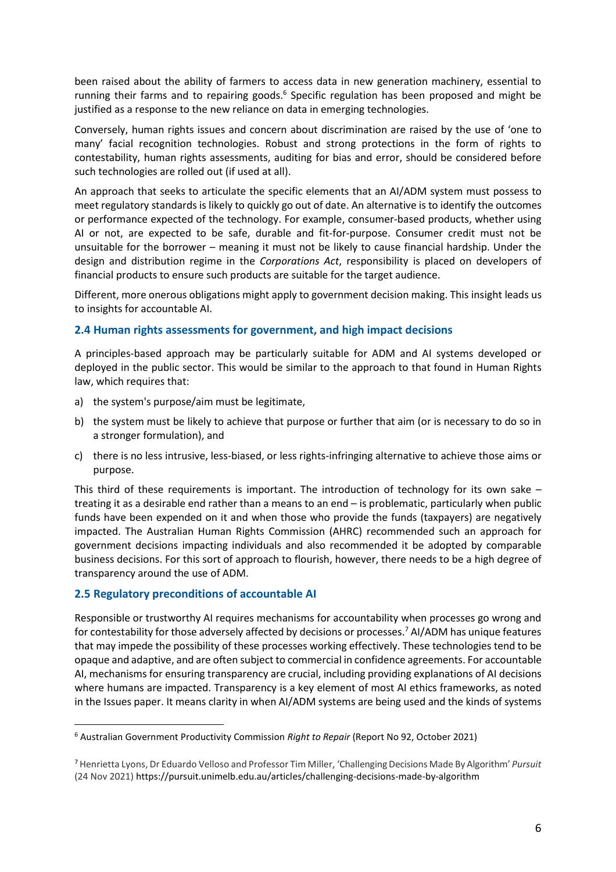been raised about the ability of farmers to access data in new generation machinery, essential to running their farms and to repairing goods.<sup>6</sup> Specific regulation has been proposed and might be justified as a response to the new reliance on data in emerging technologies.

Conversely, human rights issues and concern about discrimination are raised by the use of 'one to many' facial recognition technologies. Robust and strong protections in the form of rights to contestability, human rights assessments, auditing for bias and error, should be considered before such technologies are rolled out (if used at all).

An approach that seeks to articulate the specific elements that an AI/ADM system must possess to meet regulatory standards is likely to quickly go out of date. An alternative is to identify the outcomes or performance expected of the technology. For example, consumer-based products, whether using AI or not, are expected to be safe, durable and fit-for-purpose. Consumer credit must not be unsuitable for the borrower – meaning it must not be likely to cause financial hardship. Under the design and distribution regime in the *Corporations Act*, responsibility is placed on developers of financial products to ensure such products are suitable for the target audience.

Different, more onerous obligations might apply to government decision making. This insight leads us to insights for accountable AI.

### **2.4 Human rights assessments for government, and high impact decisions**

A principles-based approach may be particularly suitable for ADM and AI systems developed or deployed in the public sector. This would be similar to the approach to that found in Human Rights law, which requires that:

- a) the system's purpose/aim must be legitimate,
- b) the system must be likely to achieve that purpose or further that aim (or is necessary to do so in a stronger formulation), and
- c) there is no less intrusive, less-biased, or less rights-infringing alternative to achieve those aims or purpose.

This third of these requirements is important. The introduction of technology for its own sake – treating it as a desirable end rather than a means to an end – is problematic, particularly when public funds have been expended on it and when those who provide the funds (taxpayers) are negatively impacted. The Australian Human Rights Commission (AHRC) recommended such an approach for government decisions impacting individuals and also recommended it be adopted by comparable business decisions. For this sort of approach to flourish, however, there needs to be a high degree of transparency around the use of ADM.

#### **2.5 Regulatory preconditions of accountable AI**

Responsible or trustworthy AI requires mechanisms for accountability when processes go wrong and for contestability for those adversely affected by decisions or processes.<sup>7</sup> AI/ADM has unique features that may impede the possibility of these processes working effectively. These technologies tend to be opaque and adaptive, and are often subject to commercial in confidence agreements. For accountable AI, mechanisms for ensuring transparency are crucial, including providing explanations of AI decisions where humans are impacted. Transparency is a key element of most AI ethics frameworks, as noted in the Issues paper. It means clarity in when AI/ADM systems are being used and the kinds of systems

<sup>6</sup> Australian Government Productivity Commission *Right to Repair* (Report No 92, October 2021)

<sup>7</sup> Henrietta Lyons, Dr Eduardo Velloso and Professor Tim Miller, 'Challenging Decisions Made By Algorithm' *Pursuit*  (24 Nov 2021) https://pursuit.unimelb.edu.au/articles/challenging-decisions-made-by-algorithm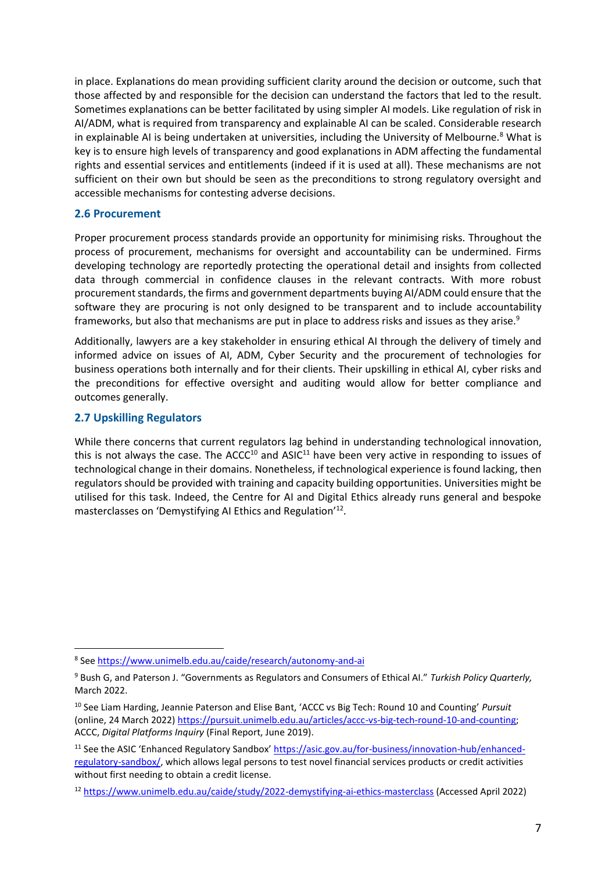in place. Explanations do mean providing sufficient clarity around the decision or outcome, such that those affected by and responsible for the decision can understand the factors that led to the result. Sometimes explanations can be better facilitated by using simpler AI models. Like regulation of risk in AI/ADM, what is required from transparency and explainable AI can be scaled. Considerable research in explainable AI is being undertaken at universities, including the University of Melbourne.<sup>8</sup> What is key is to ensure high levels of transparency and good explanations in ADM affecting the fundamental rights and essential services and entitlements (indeed if it is used at all). These mechanisms are not sufficient on their own but should be seen as the preconditions to strong regulatory oversight and accessible mechanisms for contesting adverse decisions.

#### **2.6 Procurement**

Proper procurement process standards provide an opportunity for minimising risks. Throughout the process of procurement, mechanisms for oversight and accountability can be undermined. Firms developing technology are reportedly protecting the operational detail and insights from collected data through commercial in confidence clauses in the relevant contracts. With more robust procurement standards, the firms and government departments buying AI/ADM could ensure that the software they are procuring is not only designed to be transparent and to include accountability frameworks, but also that mechanisms are put in place to address risks and issues as they arise. $^9$ 

Additionally, lawyers are a key stakeholder in ensuring ethical AI through the delivery of timely and informed advice on issues of AI, ADM, Cyber Security and the procurement of technologies for business operations both internally and for their clients. Their upskilling in ethical AI, cyber risks and the preconditions for effective oversight and auditing would allow for better compliance and outcomes generally.

#### **2.7 Upskilling Regulators**

While there concerns that current regulators lag behind in understanding technological innovation, this is not always the case. The  $ACC^{10}$  and  $ASIC^{11}$  have been very active in responding to issues of technological change in their domains. Nonetheless, if technological experience is found lacking, then regulators should be provided with training and capacity building opportunities. Universities might be utilised for this task. Indeed, the Centre for AI and Digital Ethics already runs general and bespoke masterclasses on 'Demystifying AI Ethics and Regulation'<sup>12</sup>.

<sup>8</sup> See<https://www.unimelb.edu.au/caide/research/autonomy-and-ai>

<sup>9</sup> Bush G, and Paterson J. "Governments as Regulators and Consumers of Ethical AI." *Turkish Policy Quarterly,*  March 2022.

<sup>10</sup> See Liam Harding, Jeannie Paterson and Elise Bant, 'ACCC vs Big Tech: Round 10 and Counting' *Pursuit*  (online, 24 March 2022[\) https://pursuit.unimelb.edu.au/articles/accc-vs-big-tech-round-10-and-counting;](https://pursuit.unimelb.edu.au/articles/accc-vs-big-tech-round-10-and-counting) ACCC, *Digital Platforms Inquiry* (Final Report, June 2019).

<sup>&</sup>lt;sup>11</sup> See the ASIC 'Enhanced Regulatory Sandbox' [https://asic.gov.au/for-business/innovation-hub/enhanced](https://asic.gov.au/for-business/innovation-hub/enhanced-regulatory-sandbox/)[regulatory-sandbox/,](https://asic.gov.au/for-business/innovation-hub/enhanced-regulatory-sandbox/) which allows legal persons to test novel financial services products or credit activities without first needing to obtain a credit license.

<sup>12</sup> <https://www.unimelb.edu.au/caide/study/2022-demystifying-ai-ethics-masterclass> (Accessed April 2022)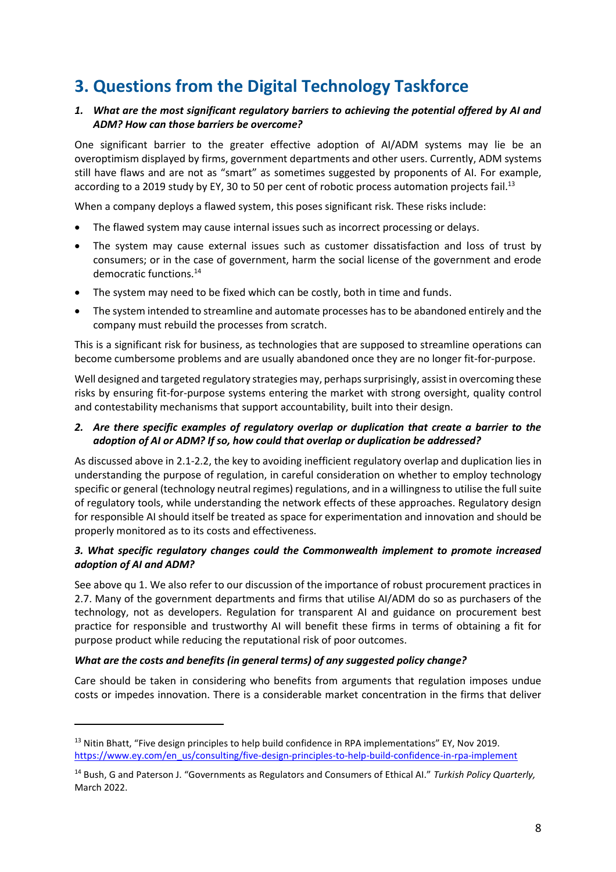## **3. Questions from the Digital Technology Taskforce**

### *1. What are the most significant regulatory barriers to achieving the potential offered by AI and ADM? How can those barriers be overcome?*

One significant barrier to the greater effective adoption of AI/ADM systems may lie be an overoptimism displayed by firms, government departments and other users. Currently, ADM systems still have flaws and are not as "smart" as sometimes suggested by proponents of AI. For example, according to a 2019 study by EY, 30 to 50 per cent of robotic process automation projects fail.<sup>13</sup>

When a company deploys a flawed system, this poses significant risk. These risks include:

- The flawed system may cause internal issues such as incorrect processing or delays.
- The system may cause external issues such as customer dissatisfaction and loss of trust by consumers; or in the case of government, harm the social license of the government and erode democratic functions.<sup>14</sup>
- The system may need to be fixed which can be costly, both in time and funds.
- The system intended to streamline and automate processes has to be abandoned entirely and the company must rebuild the processes from scratch.

This is a significant risk for business, as technologies that are supposed to streamline operations can become cumbersome problems and are usually abandoned once they are no longer fit-for-purpose.

Well designed and targeted regulatory strategies may, perhaps surprisingly, assist in overcoming these risks by ensuring fit-for-purpose systems entering the market with strong oversight, quality control and contestability mechanisms that support accountability, built into their design.

### *2. Are there specific examples of regulatory overlap or duplication that create a barrier to the adoption of AI or ADM? If so, how could that overlap or duplication be addressed?*

As discussed above in 2.1-2.2, the key to avoiding inefficient regulatory overlap and duplication lies in understanding the purpose of regulation, in careful consideration on whether to employ technology specific or general (technology neutral regimes) regulations, and in a willingness to utilise the full suite of regulatory tools, while understanding the network effects of these approaches. Regulatory design for responsible AI should itself be treated as space for experimentation and innovation and should be properly monitored as to its costs and effectiveness.

### *3. What specific regulatory changes could the Commonwealth implement to promote increased adoption of AI and ADM?*

See above qu 1. We also refer to our discussion of the importance of robust procurement practices in 2.7. Many of the government departments and firms that utilise AI/ADM do so as purchasers of the technology, not as developers. Regulation for transparent AI and guidance on procurement best practice for responsible and trustworthy AI will benefit these firms in terms of obtaining a fit for purpose product while reducing the reputational risk of poor outcomes.

#### *What are the costs and benefits (in general terms) of any suggested policy change?*

Care should be taken in considering who benefits from arguments that regulation imposes undue costs or impedes innovation. There is a considerable market concentration in the firms that deliver

 $13$  Nitin Bhatt, "Five design principles to help build confidence in RPA implementations" EY, Nov 2019. [https://www.ey.com/en\\_us/consulting/five-design-principles-to-help-build-confidence-in-rpa-implement](https://www.ey.com/en_us/consulting/five-design-principles-to-help-build-confidence-in-rpa-implement)

<sup>14</sup> Bush, G and Paterson J. "Governments as Regulators and Consumers of Ethical AI." *Turkish Policy Quarterly,*  March 2022.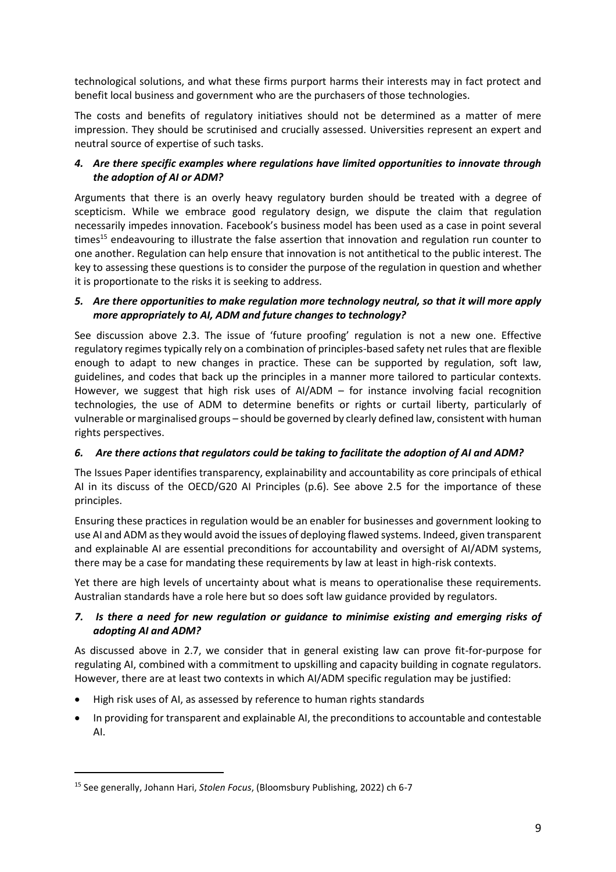technological solutions, and what these firms purport harms their interests may in fact protect and benefit local business and government who are the purchasers of those technologies.

The costs and benefits of regulatory initiatives should not be determined as a matter of mere impression. They should be scrutinised and crucially assessed. Universities represent an expert and neutral source of expertise of such tasks.

### *4. Are there specific examples where regulations have limited opportunities to innovate through the adoption of AI or ADM?*

Arguments that there is an overly heavy regulatory burden should be treated with a degree of scepticism. While we embrace good regulatory design, we dispute the claim that regulation necessarily impedes innovation. Facebook's business model has been used as a case in point several times<sup>15</sup> endeavouring to illustrate the false assertion that innovation and regulation run counter to one another. Regulation can help ensure that innovation is not antithetical to the public interest. The key to assessing these questions is to consider the purpose of the regulation in question and whether it is proportionate to the risks it is seeking to address.

### *5. Are there opportunities to make regulation more technology neutral, so that it will more apply more appropriately to AI, ADM and future changes to technology?*

See discussion above 2.3. The issue of 'future proofing' regulation is not a new one. Effective regulatory regimes typically rely on a combination of principles-based safety net rules that are flexible enough to adapt to new changes in practice. These can be supported by regulation, soft law, guidelines, and codes that back up the principles in a manner more tailored to particular contexts. However, we suggest that high risk uses of AI/ADM – for instance involving facial recognition technologies, the use of ADM to determine benefits or rights or curtail liberty, particularly of vulnerable or marginalised groups – should be governed by clearly defined law, consistent with human rights perspectives.

### *6. Are there actions that regulators could be taking to facilitate the adoption of AI and ADM?*

The Issues Paper identifies transparency, explainability and accountability as core principals of ethical AI in its discuss of the OECD/G20 AI Principles (p.6). See above 2.5 for the importance of these principles.

Ensuring these practices in regulation would be an enabler for businesses and government looking to use AI and ADM as they would avoid the issues of deploying flawed systems. Indeed, given transparent and explainable AI are essential preconditions for accountability and oversight of AI/ADM systems, there may be a case for mandating these requirements by law at least in high-risk contexts.

Yet there are high levels of uncertainty about what is means to operationalise these requirements. Australian standards have a role here but so does soft law guidance provided by regulators.

### *7. Is there a need for new regulation or guidance to minimise existing and emerging risks of adopting AI and ADM?*

As discussed above in 2.7, we consider that in general existing law can prove fit-for-purpose for regulating AI, combined with a commitment to upskilling and capacity building in cognate regulators. However, there are at least two contexts in which AI/ADM specific regulation may be justified:

- High risk uses of AI, as assessed by reference to human rights standards
- In providing for transparent and explainable AI, the preconditions to accountable and contestable AI.

<sup>15</sup> See generally, Johann Hari, *Stolen Focus*, (Bloomsbury Publishing, 2022) ch 6-7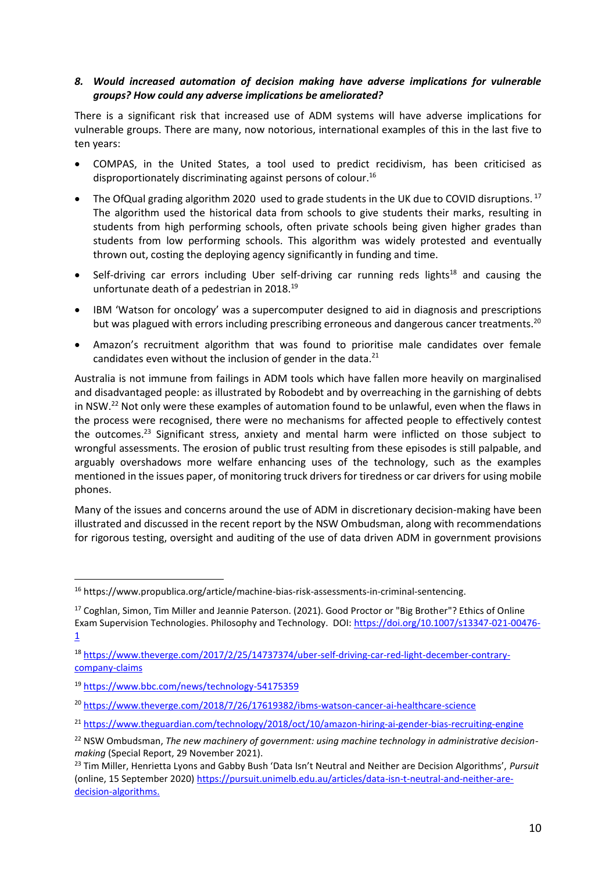### *8. Would increased automation of decision making have adverse implications for vulnerable groups? How could any adverse implications be ameliorated?*

There is a significant risk that increased use of ADM systems will have adverse implications for vulnerable groups. There are many, now notorious, international examples of this in the last five to ten years:

- COMPAS, in the United States, a tool used to predict recidivism, has been criticised as disproportionately discriminating against persons of colour.<sup>16</sup>
- The OfQual grading algorithm 2020 used to grade students in the UK due to COVID disruptions.<sup>17</sup> The algorithm used the historical data from schools to give students their marks, resulting in students from high performing schools, often private schools being given higher grades than students from low performing schools. This algorithm was widely protested and eventually thrown out, costing the deploying agency significantly in funding and time.
- Self-driving car errors including Uber self-driving car running reds lights $18$  and causing the unfortunate death of a pedestrian in 2018.<sup>19</sup>
- IBM 'Watson for oncology' was a supercomputer designed to aid in diagnosis and prescriptions but was plagued with errors including prescribing erroneous and dangerous cancer treatments.<sup>20</sup>
- Amazon's recruitment algorithm that was found to prioritise male candidates over female candidates even without the inclusion of gender in the data. $^{21}$

Australia is not immune from failings in ADM tools which have fallen more heavily on marginalised and disadvantaged people: as illustrated by Robodebt and by overreaching in the garnishing of debts in NSW.<sup>22</sup> Not only were these examples of automation found to be unlawful, even when the flaws in the process were recognised, there were no mechanisms for affected people to effectively contest the outcomes.<sup>23</sup> Significant stress, anxiety and mental harm were inflicted on those subject to wrongful assessments. The erosion of public trust resulting from these episodes is still palpable, and arguably overshadows more welfare enhancing uses of the technology, such as the examples mentioned in the issues paper, of monitoring truck drivers for tiredness or car drivers for using mobile phones.

Many of the issues and concerns around the use of ADM in discretionary decision-making have been illustrated and discussed in the recent report by the NSW Ombudsman, along with recommendations for rigorous testing, oversight and auditing of the use of data driven ADM in government provisions

<sup>16</sup> https://www.propublica.org/article/machine-bias-risk-assessments-in-criminal-sentencing.

<sup>&</sup>lt;sup>17</sup> Coghlan, Simon, Tim Miller and Jeannie Paterson. (2021). Good Proctor or "Big Brother"? Ethics of Online Exam Supervision Technologies. Philosophy and Technology. DOI: [https://doi.org/10.1007/s13347-021-00476-](https://doi.org/10.1007/s13347-021-00476-1) [1](https://doi.org/10.1007/s13347-021-00476-1)

<sup>18</sup> [https://www.theverge.com/2017/2/25/14737374/uber-self-driving-car-red-light-december-contrary](https://www.theverge.com/2017/2/25/14737374/uber-self-driving-car-red-light-december-contrary-company-claims)[company-claims](https://www.theverge.com/2017/2/25/14737374/uber-self-driving-car-red-light-december-contrary-company-claims)

<sup>19</sup> <https://www.bbc.com/news/technology-54175359>

<sup>20</sup> <https://www.theverge.com/2018/7/26/17619382/ibms-watson-cancer-ai-healthcare-science>

<sup>&</sup>lt;sup>21</sup> <https://www.theguardian.com/technology/2018/oct/10/amazon-hiring-ai-gender-bias-recruiting-engine>

<sup>&</sup>lt;sup>22</sup> NSW Ombudsman, The new machinery of government: using machine technology in administrative decision*making* (Special Report, 29 November 2021).

<sup>23</sup> Tim Miller, Henrietta Lyons and Gabby Bush 'Data Isn't Neutral and Neither are Decision Algorithms', *Pursuit* (online, 15 September 2020) [https://pursuit.unimelb.edu.au/articles/data-isn-t-neutral-and-neither-are](https://pursuit.unimelb.edu.au/articles/data-isn-t-neutral-and-neither-are-decision-algorithms)[decision-algorithms.](https://pursuit.unimelb.edu.au/articles/data-isn-t-neutral-and-neither-are-decision-algorithms)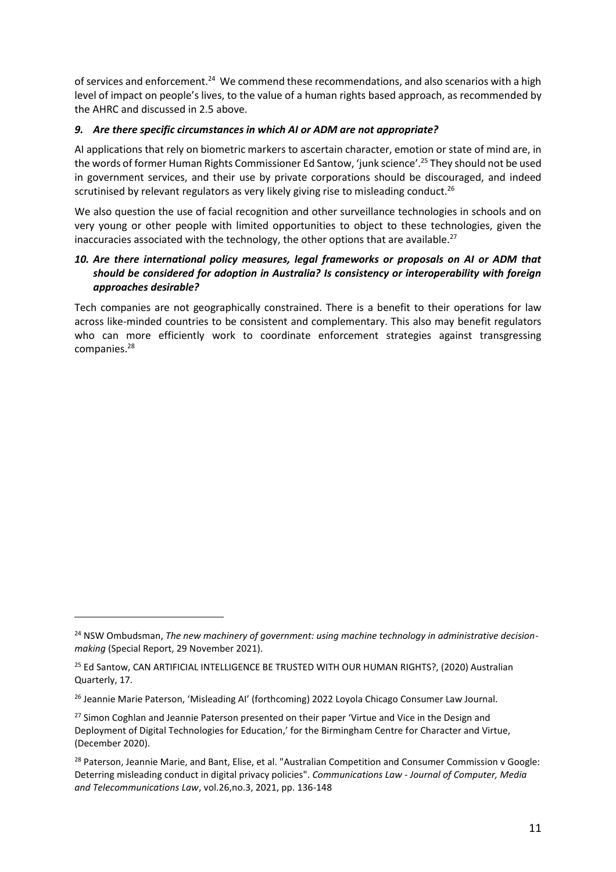of services and enforcement.<sup>24</sup> We commend these recommendations, and also scenarios with a high level of impact on people's lives, to the value of a human rights based approach, as recommended by the AHRC and discussed in 2.5 above.

### *9. Are there specific circumstances in which AI or ADM are not appropriate?*

AI applications that rely on biometric markers to ascertain character, emotion or state of mind are, in the words of former Human Rights Commissioner Ed Santow, 'junk science'.<sup>25</sup> They should not be used in government services, and their use by private corporations should be discouraged, and indeed scrutinised by relevant regulators as very likely giving rise to misleading conduct. $^{26}$ 

We also question the use of facial recognition and other surveillance technologies in schools and on very young or other people with limited opportunities to object to these technologies, given the inaccuracies associated with the technology, the other options that are available.<sup>27</sup>

### *10. Are there international policy measures, legal frameworks or proposals on AI or ADM that should be considered for adoption in Australia? Is consistency or interoperability with foreign approaches desirable?*

Tech companies are not geographically constrained. There is a benefit to their operations for law across like-minded countries to be consistent and complementary. This also may benefit regulators who can more efficiently work to coordinate enforcement strategies against transgressing companies.<sup>28</sup>

<sup>&</sup>lt;sup>24</sup> NSW Ombudsman, The new machinery of government: using machine technology in administrative decision*making* (Special Report, 29 November 2021).

<sup>&</sup>lt;sup>25</sup> Ed Santow, CAN ARTIFICIAL INTELLIGENCE BE TRUSTED WITH OUR HUMAN RIGHTS?, (2020) Australian Quarterly, 17.

<sup>&</sup>lt;sup>26</sup> Jeannie Marie Paterson, 'Misleading AI' (forthcoming) 2022 Loyola Chicago Consumer Law Journal.

<sup>&</sup>lt;sup>27</sup> Simon Coghlan and Jeannie Paterson presented on their paper 'Virtue and Vice in the Design and Deployment of Digital Technologies for Education,' for the Birmingham Centre for Character and Virtue, (December 2020).

<sup>&</sup>lt;sup>28</sup> Paterson, Jeannie Marie, and Bant, Elise, et al. "Australian Competition and Consumer Commission v Google: Deterring misleading conduct in digital privacy policies". *Communications Law - Journal of Computer, Media and Telecommunications Law*, vol.26,no.3, 2021, pp. 136-148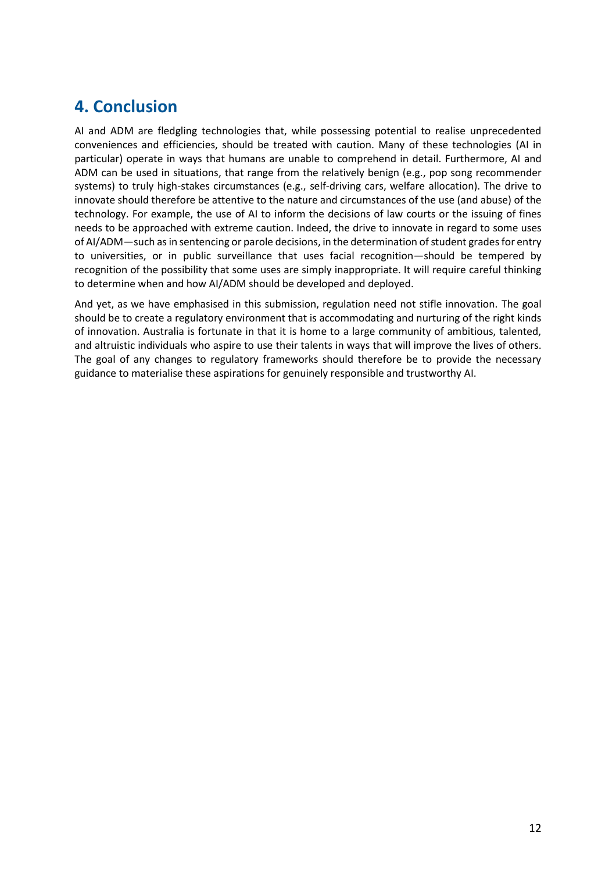## **4. Conclusion**

AI and ADM are fledgling technologies that, while possessing potential to realise unprecedented conveniences and efficiencies, should be treated with caution. Many of these technologies (AI in particular) operate in ways that humans are unable to comprehend in detail. Furthermore, AI and ADM can be used in situations, that range from the relatively benign (e.g., pop song recommender systems) to truly high-stakes circumstances (e.g., self-driving cars, welfare allocation). The drive to innovate should therefore be attentive to the nature and circumstances of the use (and abuse) of the technology. For example, the use of AI to inform the decisions of law courts or the issuing of fines needs to be approached with extreme caution. Indeed, the drive to innovate in regard to some uses of AI/ADM—such as in sentencing or parole decisions, in the determination of student grades for entry to universities, or in public surveillance that uses facial recognition—should be tempered by recognition of the possibility that some uses are simply inappropriate. It will require careful thinking to determine when and how AI/ADM should be developed and deployed.

And yet, as we have emphasised in this submission, regulation need not stifle innovation. The goal should be to create a regulatory environment that is accommodating and nurturing of the right kinds of innovation. Australia is fortunate in that it is home to a large community of ambitious, talented, and altruistic individuals who aspire to use their talents in ways that will improve the lives of others. The goal of any changes to regulatory frameworks should therefore be to provide the necessary guidance to materialise these aspirations for genuinely responsible and trustworthy AI.